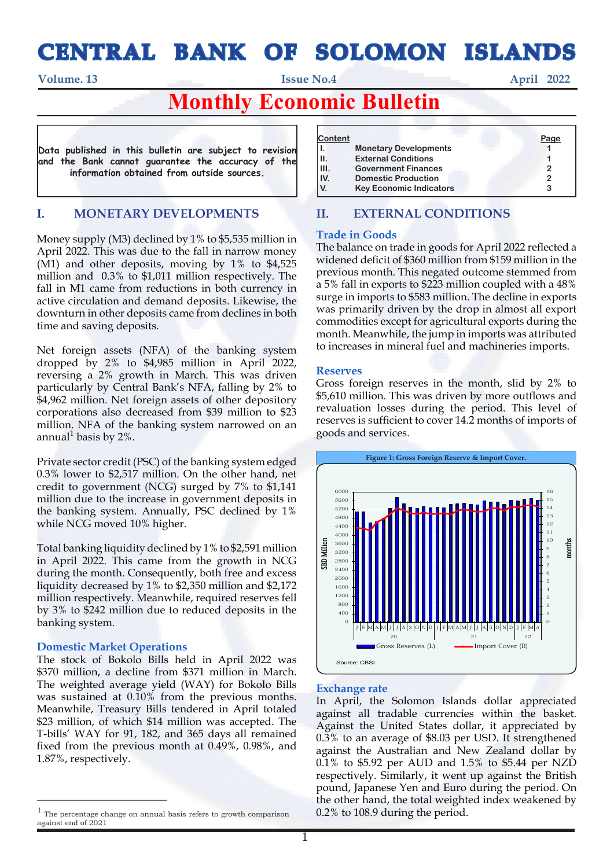# **CENTRAL BANK OF SOLOMON ISLANDS**

**Volume. 13** April 2022

## **Monthly Economic Bulletin**

**Data published in this bulletin are subject to revision and the Bank cannot guarantee the accuracy of the information obtained from outside sources.**

## **I. MONETARY DEVELOPMENTS**

Money supply (M3) declined by 1% to \$5,535 million in April 2022. This was due to the fall in narrow money (M1) and other deposits, moving by 1% to \$4,525 million and 0.3% to \$1,011 million respectively. The fall in M1 came from reductions in both currency in active circulation and demand deposits. Likewise, the downturn in other deposits came from declines in both time and saving deposits.

Net foreign assets (NFA) of the banking system dropped by 2% to \$4,985 million in April 2022, reversing a 2% growth in March. This was driven particularly by Central Bank's NFA, falling by 2% to \$4,962 million. Net foreign assets of other depository corporations also decreased from \$39 million to \$23 million. NFA of the banking system narrowed on an annual<sup>1</sup> basis by 2%.

Private sector credit (PSC) of the banking system edged 0.3% lower to \$2,517 million. On the other hand, net credit to government (NCG) surged by 7% to \$1,141 million due to the increase in government deposits in the banking system. Annually, PSC declined by 1% while NCG moved 10% higher.

Total banking liquidity declined by 1% to \$2,591 million in April 2022. This came from the growth in NCG during the month. Consequently, both free and excess liquidity decreased by 1% to \$2,350 million and \$2,172 million respectively. Meanwhile, required reserves fell by 3% to \$242 million due to reduced deposits in the banking system.

#### **Domestic Market Operations**

 $\overline{\phantom{a}}$  , where  $\overline{\phantom{a}}$  , where  $\overline{\phantom{a}}$ 

The stock of Bokolo Bills held in April 2022 was \$370 million, a decline from \$371 million in March. The weighted average yield (WAY) for Bokolo Bills was sustained at 0.10% from the previous months. Meanwhile, Treasury Bills tendered in April totaled \$23 million, of which \$14 million was accepted. The T-bills' WAY for 91, 182, and 365 days all remained fixed from the previous month at 0.49%, 0.98%, and 1.87%, respectively.

| <b>Content</b><br><b>Monetary Developments</b><br><b>External Conditions</b><br><b>Government Finances</b><br><b>Domestic Production</b><br><b>Key Economic Indicators</b> | <b>Page</b> |
|----------------------------------------------------------------------------------------------------------------------------------------------------------------------------|-------------|
|----------------------------------------------------------------------------------------------------------------------------------------------------------------------------|-------------|

## **II. EXTERNAL CONDITIONS**

#### **Trade in Goods**

The balance on trade in goods for April 2022 reflected a widened deficit of \$360 million from \$159 million in the previous month. This negated outcome stemmed from a 5% fall in exports to \$223 million coupled with a 48% surge in imports to \$583 million. The decline in exports was primarily driven by the drop in almost all export commodities except for agricultural exports during the month. Meanwhile, the jump in imports was attributed to increases in mineral fuel and machineries imports.

#### **Reserves**

Gross foreign reserves in the month, slid by 2% to \$5,610 million. This was driven by more outflows and revaluation losses during the period. This level of reserves is sufficient to cover 14.2 months of imports of goods and services.



### **Exchange rate**

In April, the Solomon Islands dollar appreciated against all tradable currencies within the basket. Against the United States dollar, it appreciated by 0.3% to an average of \$8.03 per USD. It strengthened against the Australian and New Zealand dollar by 0.1% to \$5.92 per AUD and 1.5% to \$5.44 per NZD respectively. Similarly, it went up against the British pound, Japanese Yen and Euro during the period. On the other hand, the total weighted index weakened by 0.2% to 108.9 during the period.

<sup>1</sup> The percentage change on annual basis refers to growth comparison against end of 2021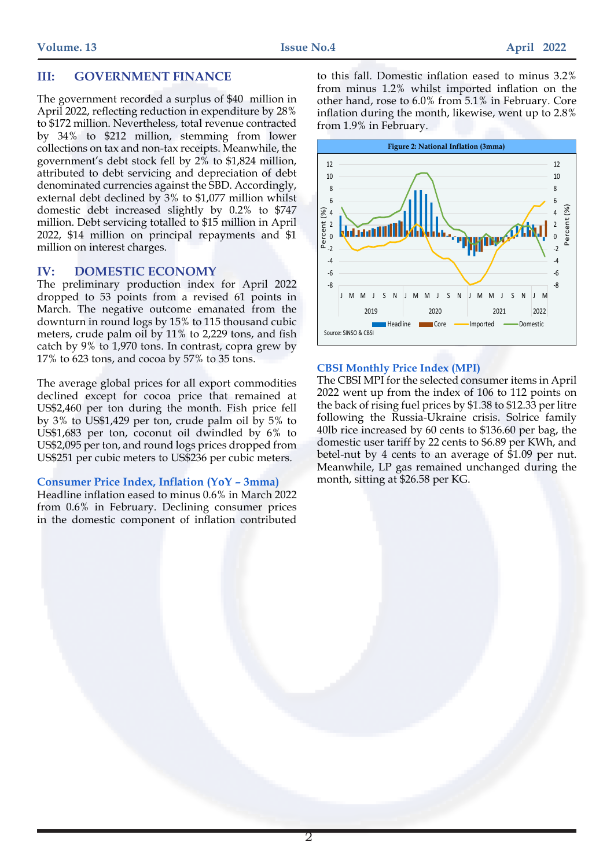## **III: GOVERNMENT FINANCE**

The government recorded a surplus of \$40 million in April 2022, reflecting reduction in expenditure by 28% to \$172 million. Nevertheless, total revenue contracted by 34% to \$212 million, stemming from lower collections on tax and non-tax receipts. Meanwhile, the government's debt stock fell by 2% to \$1,824 million, attributed to debt servicing and depreciation of debt denominated currencies against the SBD. Accordingly, external debt declined by 3% to \$1,077 million whilst domestic debt increased slightly by 0.2% to \$747 million. Debt servicing totalled to \$15 million in April 2022, \$14 million on principal repayments and \$1 million on interest charges.

#### **IV: DOMESTIC ECONOMY**

The preliminary production index for April 2022 dropped to 53 points from a revised 61 points in March. The negative outcome emanated from the downturn in round logs by 15% to 115 thousand cubic meters, crude palm oil by 11% to 2,229 tons, and fish catch by 9% to 1,970 tons. In contrast, copra grew by 17% to 623 tons, and cocoa by 57% to 35 tons.

The average global prices for all export commodities declined except for cocoa price that remained at US\$2,460 per ton during the month. Fish price fell by 3% to US\$1,429 per ton, crude palm oil by 5% to US\$1,683 per ton, coconut oil dwindled by 6% to US\$2,095 per ton, and round logs prices dropped from US\$251 per cubic meters to US\$236 per cubic meters.

#### **Consumer Price Index, Inflation (YoY – 3mma)**

Headline inflation eased to minus 0.6% in March 2022 from 0.6% in February. Declining consumer prices in the domestic component of inflation contributed to this fall. Domestic inflation eased to minus 3.2% from minus 1.2% whilst imported inflation on the other hand, rose to 6.0% from 5.1% in February. Core inflation during the month, likewise, went up to 2.8% from 1.9% in February.



#### **CBSI Monthly Price Index (MPI)**

The CBSI MPI for the selected consumer items in April 2022 went up from the index of 106 to 112 points on the back of rising fuel prices by \$1.38 to \$12.33 per litre following the Russia-Ukraine crisis. Solrice family 40lb rice increased by 60 cents to \$136.60 per bag, the domestic user tariff by 22 cents to \$6.89 per KWh, and betel-nut by 4 cents to an average of \$1.09 per nut. Meanwhile, LP gas remained unchanged during the month, sitting at \$26.58 per KG.